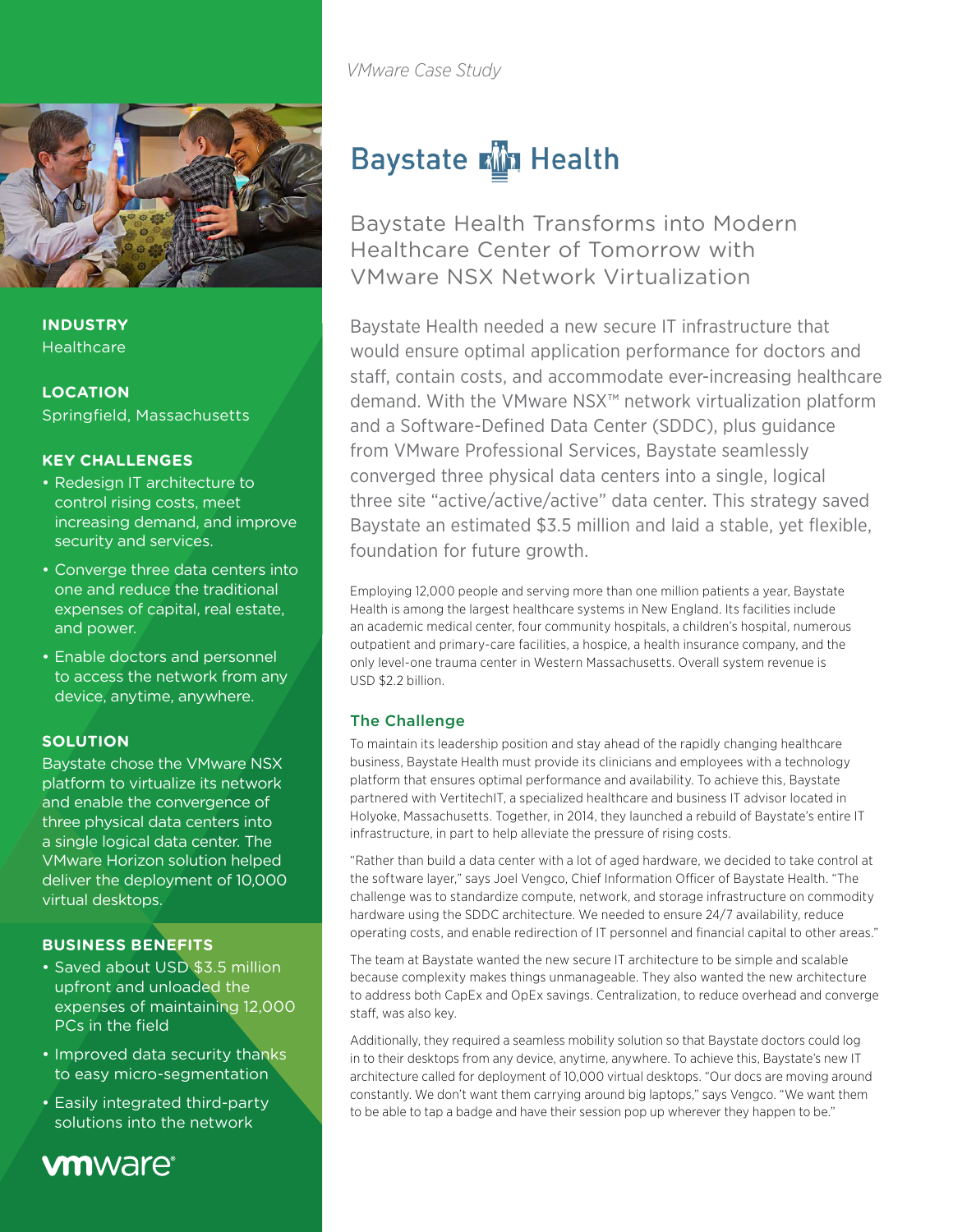

**INDUSTRY Healthcare** 

**LOCATION** Springfield, Massachusetts

#### **KEY CHALLENGES**

- Redesign IT architecture to control rising costs, meet increasing demand, and improve security and services.
- Converge three data centers into one and reduce the traditional expenses of capital, real estate, and power.
- Enable doctors and personnel to access the network from any device, anytime, anywhere.

#### **SOLUTION**

Baystate chose the VMware NSX platform to virtualize its network and enable the convergence of three physical data centers into a single logical data center. The VMware Horizon solution helped deliver the deployment of 10,000 virtual desktops.

### **BUSINESS BENEFITS**

- Saved about USD \$3.5 million upfront and unloaded the expenses of maintaining 12,000 PCs in the field
- Improved data security thanks to easy micro-segmentation
- Easily integrated third-party solutions into the network

## **vm**ware<sup>®</sup>

*VMware Case Study*

# **Baystate Min Health**

Baystate Health Transforms into Modern Healthcare Center of Tomorrow with VMware NSX Network Virtualization

Baystate Health needed a new secure IT infrastructure that would ensure optimal application performance for doctors and staff, contain costs, and accommodate ever-increasing healthcare demand. With the VMware NSX™ network virtualization platform and a Software-Defined Data Center (SDDC), plus guidance from VMware Professional Services, Baystate seamlessly converged three physical data centers into a single, logical three site "active/active/active" data center. This strategy saved Baystate an estimated \$3.5 million and laid a stable, yet flexible, foundation for future growth.

Employing 12,000 people and serving more than one million patients a year, Baystate Health is among the largest healthcare systems in New England. Its facilities include an academic medical center, four community hospitals, a children's hospital, numerous outpatient and primary-care facilities, a hospice, a health insurance company, and the only level-one trauma center in Western Massachusetts. Overall system revenue is USD \$2.2 billion.

#### The Challenge

To maintain its leadership position and stay ahead of the rapidly changing healthcare business, Baystate Health must provide its clinicians and employees with a technology platform that ensures optimal performance and availability. To achieve this, Baystate partnered with VertitechIT, a specialized healthcare and business IT advisor located in Holyoke, Massachusetts. Together, in 2014, they launched a rebuild of Baystate's entire IT infrastructure, in part to help alleviate the pressure of rising costs.

"Rather than build a data center with a lot of aged hardware, we decided to take control at the software layer," says Joel Vengco, Chief Information Officer of Baystate Health. "The challenge was to standardize compute, network, and storage infrastructure on commodity hardware using the SDDC architecture. We needed to ensure 24/7 availability, reduce operating costs, and enable redirection of IT personnel and financial capital to other areas."

The team at Baystate wanted the new secure IT architecture to be simple and scalable because complexity makes things unmanageable. They also wanted the new architecture to address both CapEx and OpEx savings. Centralization, to reduce overhead and converge staff, was also key.

Additionally, they required a seamless mobility solution so that Baystate doctors could log in to their desktops from any device, anytime, anywhere. To achieve this, Baystate's new IT architecture called for deployment of 10,000 virtual desktops. "Our docs are moving around constantly. We don't want them carrying around big laptops," says Vengco. "We want them to be able to tap a badge and have their session pop up wherever they happen to be."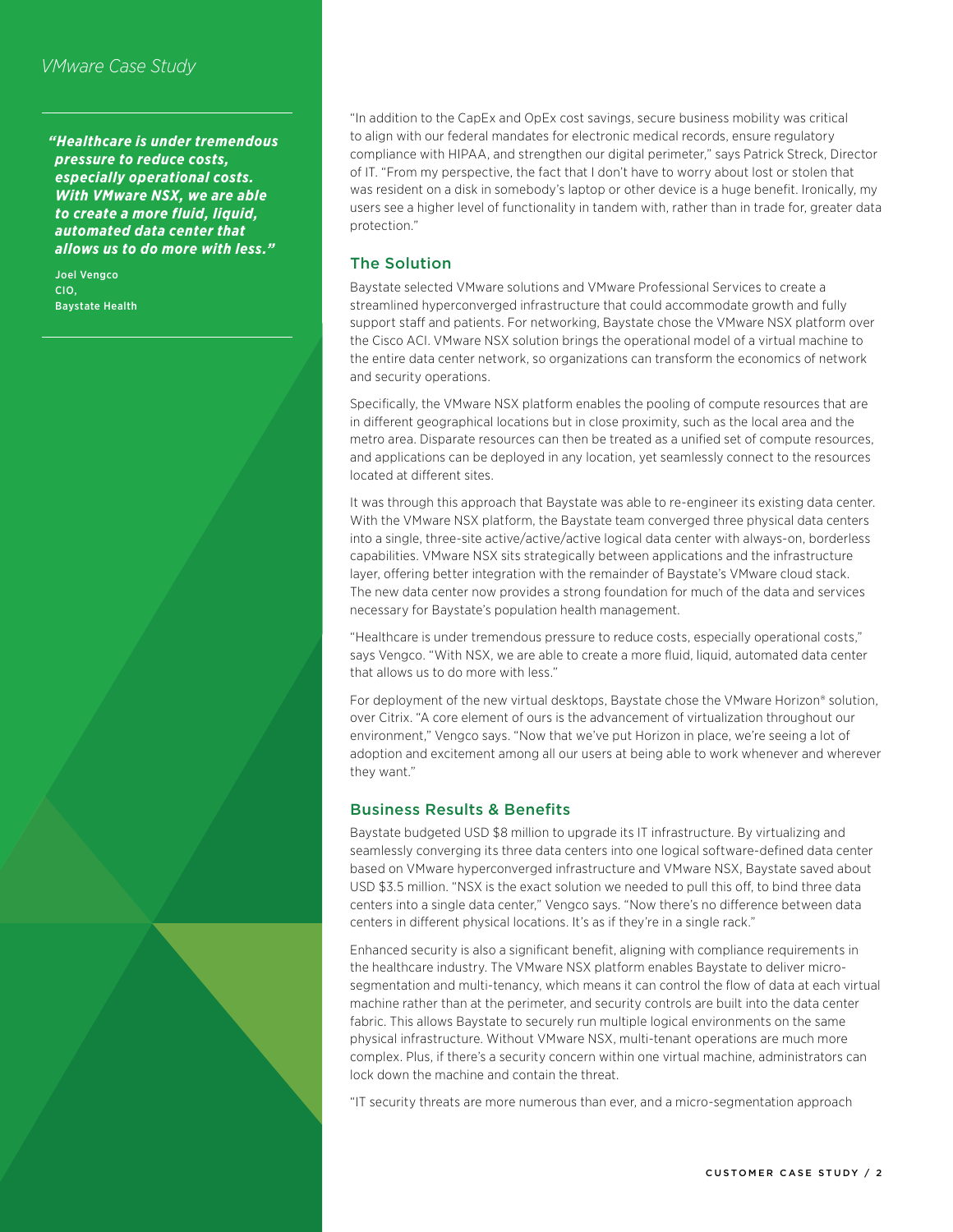*"Healthcare is under tremendous pressure to reduce costs, especially operational costs. With VMware NSX, we are able to create a more fluid, liquid, automated data center that allows us to do more with less."*

Joel Vengco CIO, Baystate Health "In addition to the CapEx and OpEx cost savings, secure business mobility was critical to align with our federal mandates for electronic medical records, ensure regulatory compliance with HIPAA, and strengthen our digital perimeter," says Patrick Streck, Director of IT. "From my perspective, the fact that I don't have to worry about lost or stolen that was resident on a disk in somebody's laptop or other device is a huge benefit. Ironically, my users see a higher level of functionality in tandem with, rather than in trade for, greater data protection."

#### The Solution

Baystate selected VMware solutions and VMware Professional Services to create a streamlined hyperconverged infrastructure that could accommodate growth and fully support staff and patients. For networking, Baystate chose the VMware NSX platform over the Cisco ACI. VMware NSX solution brings the operational model of a virtual machine to the entire data center network, so organizations can transform the economics of network and security operations.

Specifically, the VMware NSX platform enables the pooling of compute resources that are in different geographical locations but in close proximity, such as the local area and the metro area. Disparate resources can then be treated as a unified set of compute resources, and applications can be deployed in any location, yet seamlessly connect to the resources located at different sites.

It was through this approach that Baystate was able to re-engineer its existing data center. With the VMware NSX platform, the Baystate team converged three physical data centers into a single, three-site active/active/active logical data center with always-on, borderless capabilities. VMware NSX sits strategically between applications and the infrastructure layer, offering better integration with the remainder of Baystate's VMware cloud stack. The new data center now provides a strong foundation for much of the data and services necessary for Baystate's population health management.

"Healthcare is under tremendous pressure to reduce costs, especially operational costs," says Vengco. "With NSX, we are able to create a more fluid, liquid, automated data center that allows us to do more with less."

For deployment of the new virtual desktops, Baystate chose the VMware Horizon® solution, over Citrix. "A core element of ours is the advancement of virtualization throughout our environment," Vengco says. "Now that we've put Horizon in place, we're seeing a lot of adoption and excitement among all our users at being able to work whenever and wherever they want."

#### Business Results & Benefits

Baystate budgeted USD \$8 million to upgrade its IT infrastructure. By virtualizing and seamlessly converging its three data centers into one logical software-defined data center based on VMware hyperconverged infrastructure and VMware NSX, Baystate saved about USD \$3.5 million. "NSX is the exact solution we needed to pull this off, to bind three data centers into a single data center," Vengco says. "Now there's no difference between data centers in different physical locations. It's as if they're in a single rack."

Enhanced security is also a significant benefit, aligning with compliance requirements in the healthcare industry. The VMware NSX platform enables Baystate to deliver microsegmentation and multi-tenancy, which means it can control the flow of data at each virtual machine rather than at the perimeter, and security controls are built into the data center fabric. This allows Baystate to securely run multiple logical environments on the same physical infrastructure. Without VMware NSX, multi-tenant operations are much more complex. Plus, if there's a security concern within one virtual machine, administrators can lock down the machine and contain the threat.

"IT security threats are more numerous than ever, and a micro-segmentation approach